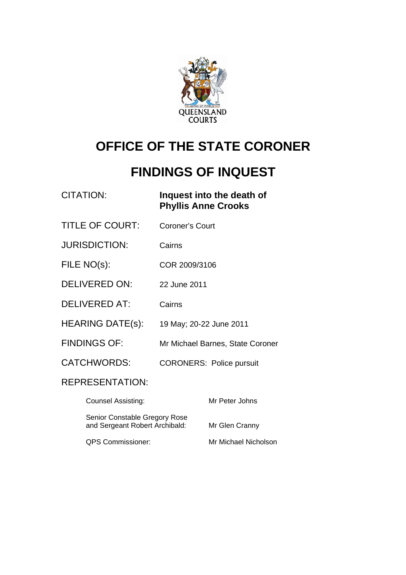

# **OFFICE OF THE STATE CORONER**

# **FINDINGS OF INQUEST**

|                                                                 | <b>CITATION:</b>          | <b>Phyllis Anne Crooks</b> | Inquest into the death of        |
|-----------------------------------------------------------------|---------------------------|----------------------------|----------------------------------|
|                                                                 | <b>TITLE OF COURT:</b>    | <b>Coroner's Court</b>     |                                  |
|                                                                 | <b>JURISDICTION:</b>      | Cairns                     |                                  |
| FILE NO(s):                                                     |                           | COR 2009/3106              |                                  |
|                                                                 | <b>DELIVERED ON:</b>      | 22 June 2011               |                                  |
|                                                                 | <b>DELIVERED AT:</b>      | Cairns                     |                                  |
|                                                                 | <b>HEARING DATE(s):</b>   | 19 May; 20-22 June 2011    |                                  |
|                                                                 | <b>FINDINGS OF:</b>       |                            | Mr Michael Barnes, State Coroner |
| <b>CATCHWORDS:</b>                                              |                           |                            | <b>CORONERS: Police pursuit</b>  |
|                                                                 | <b>REPRESENTATION:</b>    |                            |                                  |
|                                                                 | <b>Counsel Assisting:</b> |                            | Mr Peter Johns                   |
| Senior Constable Gregory Rose<br>and Sergeant Robert Archibald: |                           |                            | Mr Glen Cranny                   |

QPS Commissioner: Mr Michael Nicholson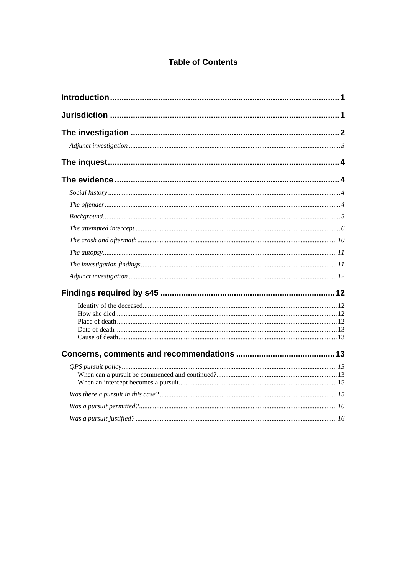#### **Table of Contents**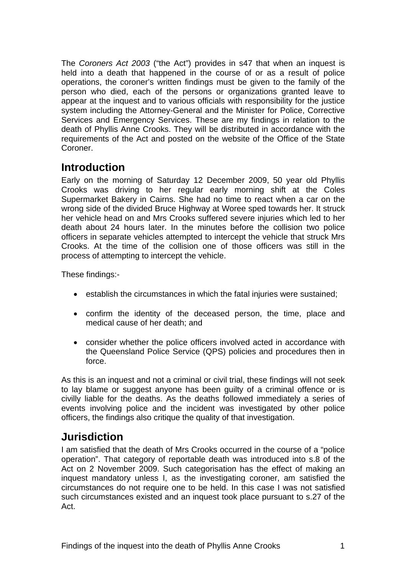<span id="page-2-0"></span>The *Coroners Act 2003* ("the Act") provides in s47 that when an inquest is held into a death that happened in the course of or as a result of police operations, the coroner's written findings must be given to the family of the person who died, each of the persons or organizations granted leave to appear at the inquest and to various officials with responsibility for the justice system including the Attorney-General and the Minister for Police, Corrective Services and Emergency Services. These are my findings in relation to the death of Phyllis Anne Crooks. They will be distributed in accordance with the requirements of the Act and posted on the website of the Office of the State Coroner.

# **Introduction**

Early on the morning of Saturday 12 December 2009, 50 year old Phyllis Crooks was driving to her regular early morning shift at the Coles Supermarket Bakery in Cairns. She had no time to react when a car on the wrong side of the divided Bruce Highway at Woree sped towards her. It struck her vehicle head on and Mrs Crooks suffered severe injuries which led to her death about 24 hours later. In the minutes before the collision two police officers in separate vehicles attempted to intercept the vehicle that struck Mrs Crooks. At the time of the collision one of those officers was still in the process of attempting to intercept the vehicle.

These findings:-

- establish the circumstances in which the fatal injuries were sustained;
- confirm the identity of the deceased person, the time, place and medical cause of her death; and
- consider whether the police officers involved acted in accordance with the Queensland Police Service (QPS) policies and procedures then in force.

As this is an inquest and not a criminal or civil trial, these findings will not seek to lay blame or suggest anyone has been guilty of a criminal offence or is civilly liable for the deaths. As the deaths followed immediately a series of events involving police and the incident was investigated by other police officers, the findings also critique the quality of that investigation.

# **Jurisdiction**

I am satisfied that the death of Mrs Crooks occurred in the course of a "police operation". That category of reportable death was introduced into s.8 of the Act on 2 November 2009. Such categorisation has the effect of making an inquest mandatory unless I, as the investigating coroner, am satisfied the circumstances do not require one to be held. In this case I was not satisfied such circumstances existed and an inquest took place pursuant to s.27 of the Act.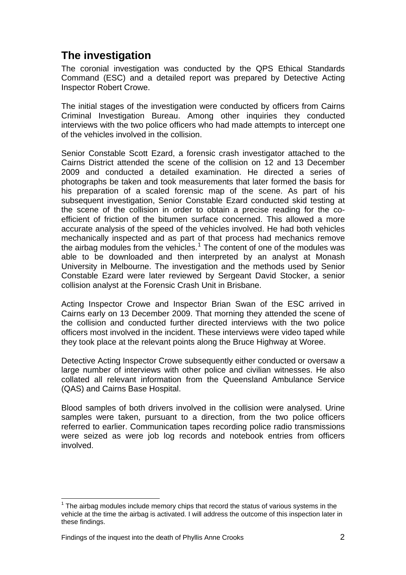# <span id="page-3-0"></span>**The investigation**

The coronial investigation was conducted by the QPS Ethical Standards Command (ESC) and a detailed report was prepared by Detective Acting Inspector Robert Crowe.

The initial stages of the investigation were conducted by officers from Cairns Criminal Investigation Bureau. Among other inquiries they conducted interviews with the two police officers who had made attempts to intercept one of the vehicles involved in the collision.

Senior Constable Scott Ezard, a forensic crash investigator attached to the Cairns District attended the scene of the collision on 12 and 13 December 2009 and conducted a detailed examination. He directed a series of photographs be taken and took measurements that later formed the basis for his preparation of a scaled forensic map of the scene. As part of his subsequent investigation, Senior Constable Ezard conducted skid testing at the scene of the collision in order to obtain a precise reading for the coefficient of friction of the bitumen surface concerned. This allowed a more accurate analysis of the speed of the vehicles involved. He had both vehicles mechanically inspected and as part of that process had mechanics remove the airbag modules from the vehicles.<sup>[1](#page-3-1)</sup> The content of one of the modules was able to be downloaded and then interpreted by an analyst at Monash University in Melbourne. The investigation and the methods used by Senior Constable Ezard were later reviewed by Sergeant David Stocker, a senior collision analyst at the Forensic Crash Unit in Brisbane.

Acting Inspector Crowe and Inspector Brian Swan of the ESC arrived in Cairns early on 13 December 2009. That morning they attended the scene of the collision and conducted further directed interviews with the two police officers most involved in the incident. These interviews were video taped while they took place at the relevant points along the Bruce Highway at Woree.

Detective Acting Inspector Crowe subsequently either conducted or oversaw a large number of interviews with other police and civilian witnesses. He also collated all relevant information from the Queensland Ambulance Service (QAS) and Cairns Base Hospital.

Blood samples of both drivers involved in the collision were analysed. Urine samples were taken, pursuant to a direction, from the two police officers referred to earlier. Communication tapes recording police radio transmissions were seized as were job log records and notebook entries from officers involved.

 $\overline{a}$ 

<span id="page-3-1"></span> $1$  The airbag modules include memory chips that record the status of various systems in the vehicle at the time the airbag is activated. I will address the outcome of this inspection later in these findings.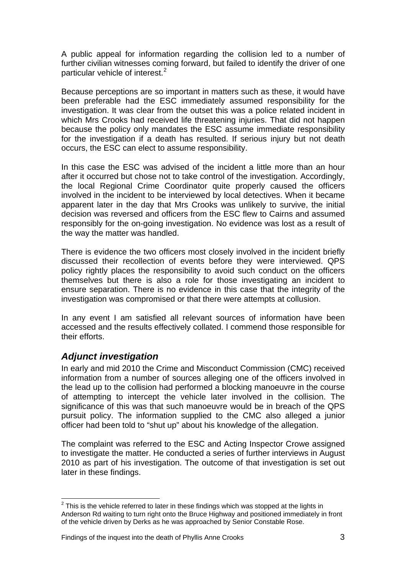<span id="page-4-0"></span>A public appeal for information regarding the collision led to a number of further civilian witnesses coming forward, but failed to identify the driver of one particular vehicle of interest.<sup>[2](#page-4-1)</sup>

Because perceptions are so important in matters such as these, it would have been preferable had the ESC immediately assumed responsibility for the investigation. It was clear from the outset this was a police related incident in which Mrs Crooks had received life threatening injuries. That did not happen because the policy only mandates the ESC assume immediate responsibility for the investigation if a death has resulted. If serious injury but not death occurs, the ESC can elect to assume responsibility.

In this case the ESC was advised of the incident a little more than an hour after it occurred but chose not to take control of the investigation. Accordingly, the local Regional Crime Coordinator quite properly caused the officers involved in the incident to be interviewed by local detectives. When it became apparent later in the day that Mrs Crooks was unlikely to survive, the initial decision was reversed and officers from the ESC flew to Cairns and assumed responsibly for the on-going investigation. No evidence was lost as a result of the way the matter was handled.

There is evidence the two officers most closely involved in the incident briefly discussed their recollection of events before they were interviewed. QPS policy rightly places the responsibility to avoid such conduct on the officers themselves but there is also a role for those investigating an incident to ensure separation. There is no evidence in this case that the integrity of the investigation was compromised or that there were attempts at collusion.

In any event I am satisfied all relevant sources of information have been accessed and the results effectively collated. I commend those responsible for their efforts.

## *Adjunct investigation*

In early and mid 2010 the Crime and Misconduct Commission (CMC) received information from a number of sources alleging one of the officers involved in the lead up to the collision had performed a blocking manoeuvre in the course of attempting to intercept the vehicle later involved in the collision. The significance of this was that such manoeuvre would be in breach of the QPS pursuit policy. The information supplied to the CMC also alleged a junior officer had been told to "shut up" about his knowledge of the allegation.

The complaint was referred to the ESC and Acting Inspector Crowe assigned to investigate the matter. He conducted a series of further interviews in August 2010 as part of his investigation. The outcome of that investigation is set out later in these findings.

<span id="page-4-1"></span> $\overline{a}$  $2$  This is the vehicle referred to later in these findings which was stopped at the lights in Anderson Rd waiting to turn right onto the Bruce Highway and positioned immediately in front of the vehicle driven by Derks as he was approached by Senior Constable Rose.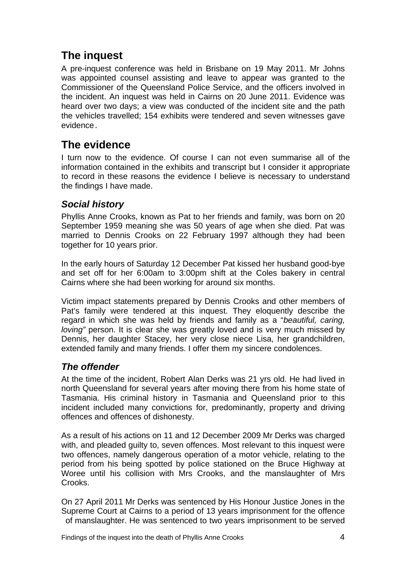# <span id="page-5-0"></span>**The inquest**

A pre-inquest conference was held in Brisbane on 19 May 2011. Mr Johns was appointed counsel assisting and leave to appear was granted to the Commissioner of the Queensland Police Service, and the officers involved in the incident. An inquest was held in Cairns on 20 June 2011. Evidence was heard over two days; a view was conducted of the incident site and the path the vehicles travelled; 154 exhibits were tendered and seven witnesses gave evidence.

# **The evidence**

I turn now to the evidence. Of course I can not even summarise all of the information contained in the exhibits and transcript but I consider it appropriate to record in these reasons the evidence I believe is necessary to understand the findings I have made.

## *Social history*

Phyllis Anne Crooks, known as Pat to her friends and family, was born on 20 September 1959 meaning she was 50 years of age when she died. Pat was married to Dennis Crooks on 22 February 1997 although they had been together for 10 years prior.

In the early hours of Saturday 12 December Pat kissed her husband good-bye and set off for her 6:00am to 3:00pm shift at the Coles bakery in central Cairns where she had been working for around six months.

Victim impact statements prepared by Dennis Crooks and other members of Pat's family were tendered at this inquest. They eloquently describe the regard in which she was held by friends and family as a "*beautiful, caring, loving*" person. It is clear she was greatly loved and is very much missed by Dennis, her daughter Stacey, her very close niece Lisa, her grandchildren, extended family and many friends. I offer them my sincere condolences.

# *The offender*

At the time of the incident, Robert Alan Derks was 21 yrs old. He had lived in north Queensland for several years after moving there from his home state of Tasmania. His criminal history in Tasmania and Queensland prior to this incident included many convictions for, predominantly, property and driving offences and offences of dishonesty.

As a result of his actions on 11 and 12 December 2009 Mr Derks was charged with, and pleaded guilty to, seven offences. Most relevant to this inquest were two offences, namely dangerous operation of a motor vehicle, relating to the period from his being spotted by police stationed on the Bruce Highway at Woree until his collision with Mrs Crooks, and the manslaughter of Mrs Crooks.

On 27 April 2011 Mr Derks was sentenced by His Honour Justice Jones in the Supreme Court at Cairns to a period of 13 years imprisonment for the offence of manslaughter. He was sentenced to two years imprisonment to be served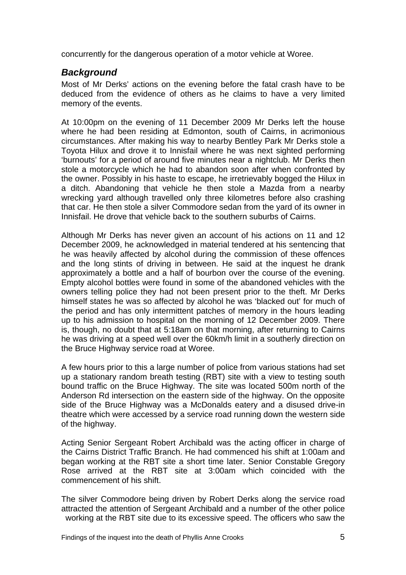<span id="page-6-0"></span>concurrently for the dangerous operation of a motor vehicle at Woree.

### *Background*

Most of Mr Derks' actions on the evening before the fatal crash have to be deduced from the evidence of others as he claims to have a very limited memory of the events.

At 10:00pm on the evening of 11 December 2009 Mr Derks left the house where he had been residing at Edmonton, south of Cairns, in acrimonious circumstances. After making his way to nearby Bentley Park Mr Derks stole a Toyota Hilux and drove it to Innisfail where he was next sighted performing 'burnouts' for a period of around five minutes near a nightclub. Mr Derks then stole a motorcycle which he had to abandon soon after when confronted by the owner. Possibly in his haste to escape, he irretrievably bogged the Hilux in a ditch. Abandoning that vehicle he then stole a Mazda from a nearby wrecking yard although travelled only three kilometres before also crashing that car. He then stole a silver Commodore sedan from the yard of its owner in Innisfail. He drove that vehicle back to the southern suburbs of Cairns.

Although Mr Derks has never given an account of his actions on 11 and 12 December 2009, he acknowledged in material tendered at his sentencing that he was heavily affected by alcohol during the commission of these offences and the long stints of driving in between. He said at the inquest he drank approximately a bottle and a half of bourbon over the course of the evening. Empty alcohol bottles were found in some of the abandoned vehicles with the owners telling police they had not been present prior to the theft. Mr Derks himself states he was so affected by alcohol he was 'blacked out' for much of the period and has only intermittent patches of memory in the hours leading up to his admission to hospital on the morning of 12 December 2009. There is, though, no doubt that at 5:18am on that morning, after returning to Cairns he was driving at a speed well over the 60km/h limit in a southerly direction on the Bruce Highway service road at Woree.

A few hours prior to this a large number of police from various stations had set up a stationary random breath testing (RBT) site with a view to testing south bound traffic on the Bruce Highway. The site was located 500m north of the Anderson Rd intersection on the eastern side of the highway. On the opposite side of the Bruce Highway was a McDonalds eatery and a disused drive-in theatre which were accessed by a service road running down the western side of the highway.

Acting Senior Sergeant Robert Archibald was the acting officer in charge of the Cairns District Traffic Branch. He had commenced his shift at 1:00am and began working at the RBT site a short time later. Senior Constable Gregory Rose arrived at the RBT site at 3:00am which coincided with the commencement of his shift.

The silver Commodore being driven by Robert Derks along the service road attracted the attention of Sergeant Archibald and a number of the other police working at the RBT site due to its excessive speed. The officers who saw the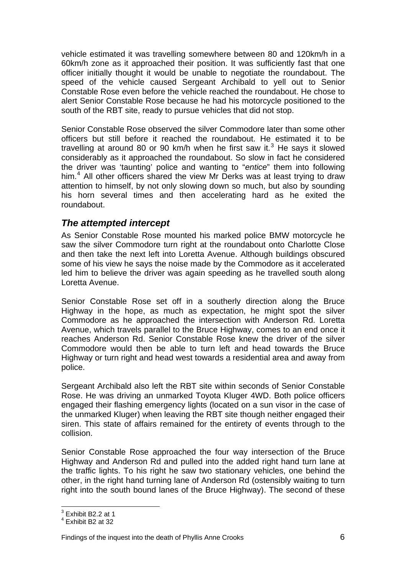<span id="page-7-0"></span>vehicle estimated it was travelling somewhere between 80 and 120km/h in a 60km/h zone as it approached their position. It was sufficiently fast that one officer initially thought it would be unable to negotiate the roundabout. The speed of the vehicle caused Sergeant Archibald to yell out to Senior Constable Rose even before the vehicle reached the roundabout. He chose to alert Senior Constable Rose because he had his motorcycle positioned to the south of the RBT site, ready to pursue vehicles that did not stop.

Senior Constable Rose observed the silver Commodore later than some other officers but still before it reached the roundabout. He estimated it to be travelling at around 80 or 90 km/h when he first saw it.<sup>[3](#page-7-1)</sup> He says it slowed considerably as it approached the roundabout. So slow in fact he considered the driver was 'taunting' police and wanting to "*entice*" them into following him.<sup>[4](#page-7-2)</sup> All other officers shared the view Mr Derks was at least trying to draw attention to himself, by not only slowing down so much, but also by sounding his horn several times and then accelerating hard as he exited the roundabout.

### *The attempted intercept*

As Senior Constable Rose mounted his marked police BMW motorcycle he saw the silver Commodore turn right at the roundabout onto Charlotte Close and then take the next left into Loretta Avenue. Although buildings obscured some of his view he says the noise made by the Commodore as it accelerated led him to believe the driver was again speeding as he travelled south along Loretta Avenue.

Senior Constable Rose set off in a southerly direction along the Bruce Highway in the hope, as much as expectation, he might spot the silver Commodore as he approached the intersection with Anderson Rd. Loretta Avenue, which travels parallel to the Bruce Highway, comes to an end once it reaches Anderson Rd. Senior Constable Rose knew the driver of the silver Commodore would then be able to turn left and head towards the Bruce Highway or turn right and head west towards a residential area and away from police.

Sergeant Archibald also left the RBT site within seconds of Senior Constable Rose. He was driving an unmarked Toyota Kluger 4WD. Both police officers engaged their flashing emergency lights (located on a sun visor in the case of the unmarked Kluger) when leaving the RBT site though neither engaged their siren. This state of affairs remained for the entirety of events through to the collision.

Senior Constable Rose approached the four way intersection of the Bruce Highway and Anderson Rd and pulled into the added right hand turn lane at the traffic lights. To his right he saw two stationary vehicles, one behind the other, in the right hand turning lane of Anderson Rd (ostensibly waiting to turn right into the south bound lanes of the Bruce Highway). The second of these

 3 Exhibit B2.2 at 1

<span id="page-7-2"></span><span id="page-7-1"></span><sup>4</sup> Exhibit B2 at 32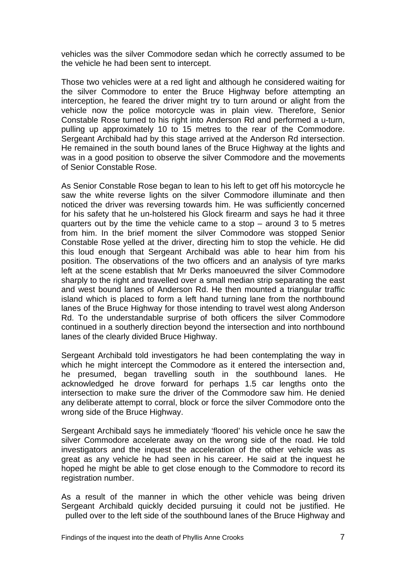vehicles was the silver Commodore sedan which he correctly assumed to be the vehicle he had been sent to intercept.

Those two vehicles were at a red light and although he considered waiting for the silver Commodore to enter the Bruce Highway before attempting an interception, he feared the driver might try to turn around or alight from the vehicle now the police motorcycle was in plain view. Therefore, Senior Constable Rose turned to his right into Anderson Rd and performed a u-turn, pulling up approximately 10 to 15 metres to the rear of the Commodore. Sergeant Archibald had by this stage arrived at the Anderson Rd intersection. He remained in the south bound lanes of the Bruce Highway at the lights and was in a good position to observe the silver Commodore and the movements of Senior Constable Rose.

As Senior Constable Rose began to lean to his left to get off his motorcycle he saw the white reverse lights on the silver Commodore illuminate and then noticed the driver was reversing towards him. He was sufficiently concerned for his safety that he un-holstered his Glock firearm and says he had it three quarters out by the time the vehicle came to a stop – around 3 to 5 metres from him. In the brief moment the silver Commodore was stopped Senior Constable Rose yelled at the driver, directing him to stop the vehicle. He did this loud enough that Sergeant Archibald was able to hear him from his position. The observations of the two officers and an analysis of tyre marks left at the scene establish that Mr Derks manoeuvred the silver Commodore sharply to the right and travelled over a small median strip separating the east and west bound lanes of Anderson Rd. He then mounted a triangular traffic island which is placed to form a left hand turning lane from the northbound lanes of the Bruce Highway for those intending to travel west along Anderson Rd. To the understandable surprise of both officers the silver Commodore continued in a southerly direction beyond the intersection and into northbound lanes of the clearly divided Bruce Highway.

Sergeant Archibald told investigators he had been contemplating the way in which he might intercept the Commodore as it entered the intersection and, he presumed, began travelling south in the southbound lanes. He acknowledged he drove forward for perhaps 1.5 car lengths onto the intersection to make sure the driver of the Commodore saw him. He denied any deliberate attempt to corral, block or force the silver Commodore onto the wrong side of the Bruce Highway.

Sergeant Archibald says he immediately 'floored' his vehicle once he saw the silver Commodore accelerate away on the wrong side of the road. He told investigators and the inquest the acceleration of the other vehicle was as great as any vehicle he had seen in his career. He said at the inquest he hoped he might be able to get close enough to the Commodore to record its registration number.

As a result of the manner in which the other vehicle was being driven Sergeant Archibald quickly decided pursuing it could not be justified. He pulled over to the left side of the southbound lanes of the Bruce Highway and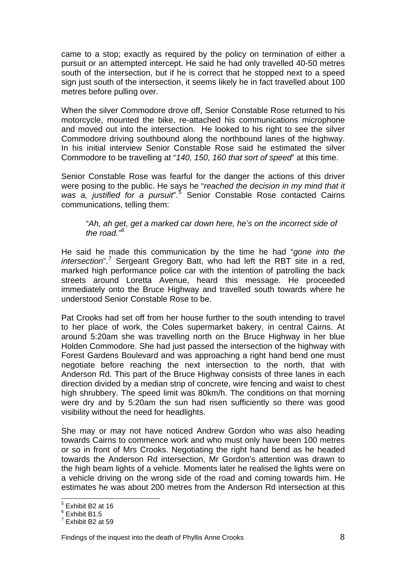came to a stop; exactly as required by the policy on termination of either a pursuit or an attempted intercept. He said he had only travelled 40-50 metres south of the intersection, but if he is correct that he stopped next to a speed sign just south of the intersection, it seems likely he in fact travelled about 100 metres before pulling over.

When the silver Commodore drove off, Senior Constable Rose returned to his motorcycle, mounted the bike, re-attached his communications microphone and moved out into the intersection. He looked to his right to see the silver Commodore driving southbound along the northbound lanes of the highway. In his initial interview Senior Constable Rose said he estimated the silver Commodore to be travelling at "*140, 150, 160 that sort of speed*" at this time.

Senior Constable Rose was fearful for the danger the actions of this driver were posing to the public. He says he "*reached the decision in my mind that it*  was a, justified for a pursuit<sup>".[5](#page-9-0)</sup> Senior Constable Rose contacted Cairns communications, telling them:

#### "*Ah, ah get, get a marked car down here, he's on the incorrect side of the road."[6](#page-9-1)*

He said he made this communication by the time he had "*gone into the*  intersection".<sup>[7](#page-9-2)</sup> Sergeant Gregory Batt, who had left the RBT site in a red, marked high performance police car with the intention of patrolling the back streets around Loretta Avenue, heard this message. He proceeded immediately onto the Bruce Highway and travelled south towards where he understood Senior Constable Rose to be.

Pat Crooks had set off from her house further to the south intending to travel to her place of work, the Coles supermarket bakery, in central Cairns. At around 5:20am she was travelling north on the Bruce Highway in her blue Holden Commodore. She had just passed the intersection of the highway with Forest Gardens Boulevard and was approaching a right hand bend one must negotiate before reaching the next intersection to the north, that with Anderson Rd. This part of the Bruce Highway consists of three lanes in each direction divided by a median strip of concrete, wire fencing and waist to chest high shrubbery. The speed limit was 80km/h. The conditions on that morning were dry and by 5:20am the sun had risen sufficiently so there was good visibility without the need for headlights.

She may or may not have noticed Andrew Gordon who was also heading towards Cairns to commence work and who must only have been 100 metres or so in front of Mrs Crooks. Negotiating the right hand bend as he headed towards the Anderson Rd intersection, Mr Gordon's attention was drawn to the high beam lights of a vehicle. Moments later he realised the lights were on a vehicle driving on the wrong side of the road and coming towards him. He estimates he was about 200 metres from the Anderson Rd intersection at this

 $\overline{a}$ <sup>5</sup> Exhibit B2 at 16

<span id="page-9-1"></span><span id="page-9-0"></span><sup>6</sup> Exhibit B1.5

<span id="page-9-2"></span> $<sup>7</sup>$  Exhibit B2 at 59</sup>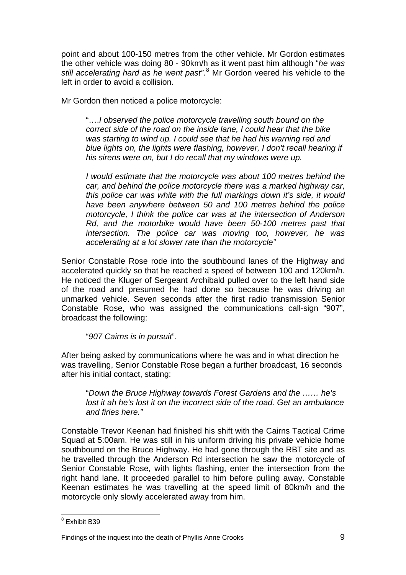point and about 100-150 metres from the other vehicle. Mr Gordon estimates the other vehicle was doing 80 - 90km/h as it went past him although "*he was*  still accelerating hard as he went past".<sup>[8](#page-10-0)</sup> Mr Gordon veered his vehicle to the left in order to avoid a collision.

Mr Gordon then noticed a police motorcycle:

"….*I observed the police motorcycle travelling south bound on the correct side of the road on the inside lane, I could hear that the bike was starting to wind up. I could see that he had his warning red and blue lights on, the lights were flashing, however, I don't recall hearing if his sirens were on, but I do recall that my windows were up.* 

*I would estimate that the motorcycle was about 100 metres behind the car, and behind the police motorcycle there was a marked highway car, this police car was white with the full markings down it's side, it would have been anywhere between 50 and 100 metres behind the police motorcycle, I think the police car was at the intersection of Anderson Rd, and the motorbike would have been 50-100 metres past that intersection. The police car was moving too, however, he was accelerating at a lot slower rate than the motorcycle"*

Senior Constable Rose rode into the southbound lanes of the Highway and accelerated quickly so that he reached a speed of between 100 and 120km/h. He noticed the Kluger of Sergeant Archibald pulled over to the left hand side of the road and presumed he had done so because he was driving an unmarked vehicle. Seven seconds after the first radio transmission Senior Constable Rose, who was assigned the communications call-sign "907", broadcast the following:

"*907 Cairns is in pursuit*".

After being asked by communications where he was and in what direction he was travelling, Senior Constable Rose began a further broadcast, 16 seconds after his initial contact, stating:

"*Down the Bruce Highway towards Forest Gardens and the …… he's lost it ah he's lost it on the incorrect side of the road. Get an ambulance and firies here."* 

Constable Trevor Keenan had finished his shift with the Cairns Tactical Crime Squad at 5:00am. He was still in his uniform driving his private vehicle home southbound on the Bruce Highway. He had gone through the RBT site and as he travelled through the Anderson Rd intersection he saw the motorcycle of Senior Constable Rose, with lights flashing, enter the intersection from the right hand lane. It proceeded parallel to him before pulling away. Constable Keenan estimates he was travelling at the speed limit of 80km/h and the motorcycle only slowly accelerated away from him.

<span id="page-10-0"></span> 8 Exhibit B39

Findings of the inquest into the death of Phyllis Anne Crooks 9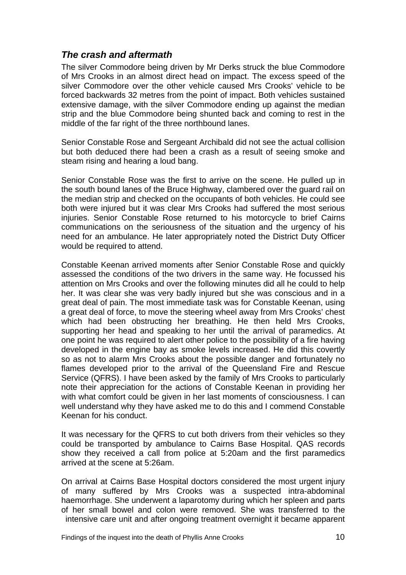#### <span id="page-11-0"></span>*The crash and aftermath*

The silver Commodore being driven by Mr Derks struck the blue Commodore of Mrs Crooks in an almost direct head on impact. The excess speed of the silver Commodore over the other vehicle caused Mrs Crooks' vehicle to be forced backwards 32 metres from the point of impact. Both vehicles sustained extensive damage, with the silver Commodore ending up against the median strip and the blue Commodore being shunted back and coming to rest in the middle of the far right of the three northbound lanes.

Senior Constable Rose and Sergeant Archibald did not see the actual collision but both deduced there had been a crash as a result of seeing smoke and steam rising and hearing a loud bang.

Senior Constable Rose was the first to arrive on the scene. He pulled up in the south bound lanes of the Bruce Highway, clambered over the guard rail on the median strip and checked on the occupants of both vehicles. He could see both were injured but it was clear Mrs Crooks had suffered the most serious injuries. Senior Constable Rose returned to his motorcycle to brief Cairns communications on the seriousness of the situation and the urgency of his need for an ambulance. He later appropriately noted the District Duty Officer would be required to attend.

Constable Keenan arrived moments after Senior Constable Rose and quickly assessed the conditions of the two drivers in the same way. He focussed his attention on Mrs Crooks and over the following minutes did all he could to help her. It was clear she was very badly injured but she was conscious and in a great deal of pain. The most immediate task was for Constable Keenan, using a great deal of force, to move the steering wheel away from Mrs Crooks' chest which had been obstructing her breathing. He then held Mrs Crooks, supporting her head and speaking to her until the arrival of paramedics. At one point he was required to alert other police to the possibility of a fire having developed in the engine bay as smoke levels increased. He did this covertly so as not to alarm Mrs Crooks about the possible danger and fortunately no flames developed prior to the arrival of the Queensland Fire and Rescue Service (QFRS). I have been asked by the family of Mrs Crooks to particularly note their appreciation for the actions of Constable Keenan in providing her with what comfort could be given in her last moments of consciousness. I can well understand why they have asked me to do this and I commend Constable Keenan for his conduct.

It was necessary for the QFRS to cut both drivers from their vehicles so they could be transported by ambulance to Cairns Base Hospital. QAS records show they received a call from police at 5:20am and the first paramedics arrived at the scene at 5:26am.

On arrival at Cairns Base Hospital doctors considered the most urgent injury of many suffered by Mrs Crooks was a suspected intra-abdominal haemorrhage. She underwent a laparotomy during which her spleen and parts of her small bowel and colon were removed. She was transferred to the intensive care unit and after ongoing treatment overnight it became apparent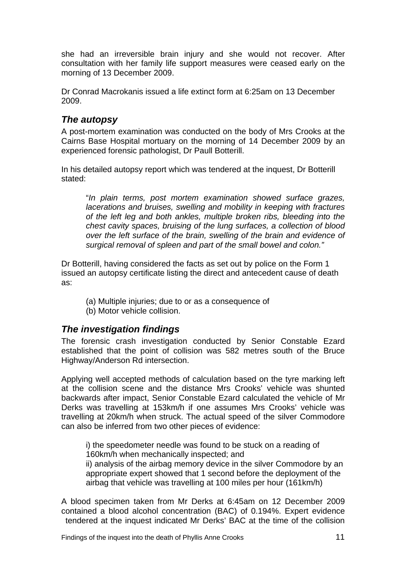<span id="page-12-0"></span>she had an irreversible brain injury and she would not recover. After consultation with her family life support measures were ceased early on the morning of 13 December 2009.

Dr Conrad Macrokanis issued a life extinct form at 6:25am on 13 December 2009.

## *The autopsy*

A post-mortem examination was conducted on the body of Mrs Crooks at the Cairns Base Hospital mortuary on the morning of 14 December 2009 by an experienced forensic pathologist, Dr Paull Botterill.

In his detailed autopsy report which was tendered at the inquest, Dr Botterill stated:

"*In plain terms, post mortem examination showed surface grazes, lacerations and bruises, swelling and mobility in keeping with fractures of the left leg and both ankles, multiple broken ribs, bleeding into the chest cavity spaces, bruising of the lung surfaces, a collection of blood over the left surface of the brain, swelling of the brain and evidence of surgical removal of spleen and part of the small bowel and colon."* 

Dr Botterill, having considered the facts as set out by police on the Form 1 issued an autopsy certificate listing the direct and antecedent cause of death as:

 (a) Multiple injuries; due to or as a consequence of (b) Motor vehicle collision.

## *The investigation findings*

The forensic crash investigation conducted by Senior Constable Ezard established that the point of collision was 582 metres south of the Bruce Highway/Anderson Rd intersection.

Applying well accepted methods of calculation based on the tyre marking left at the collision scene and the distance Mrs Crooks' vehicle was shunted backwards after impact, Senior Constable Ezard calculated the vehicle of Mr Derks was travelling at 153km/h if one assumes Mrs Crooks' vehicle was travelling at 20km/h when struck. The actual speed of the silver Commodore can also be inferred from two other pieces of evidence:

i) the speedometer needle was found to be stuck on a reading of 160km/h when mechanically inspected; and

ii) analysis of the airbag memory device in the silver Commodore by an appropriate expert showed that 1 second before the deployment of the airbag that vehicle was travelling at 100 miles per hour (161km/h)

A blood specimen taken from Mr Derks at 6:45am on 12 December 2009 contained a blood alcohol concentration (BAC) of 0.194%. Expert evidence tendered at the inquest indicated Mr Derks' BAC at the time of the collision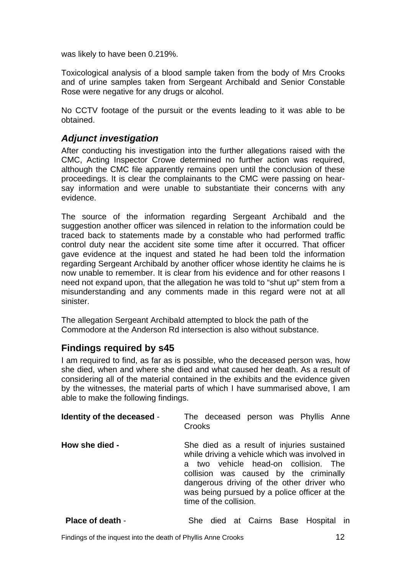<span id="page-13-0"></span>was likely to have been 0.219%.

Toxicological analysis of a blood sample taken from the body of Mrs Crooks and of urine samples taken from Sergeant Archibald and Senior Constable Rose were negative for any drugs or alcohol.

No CCTV footage of the pursuit or the events leading to it was able to be obtained.

#### *Adjunct investigation*

After conducting his investigation into the further allegations raised with the CMC, Acting Inspector Crowe determined no further action was required, although the CMC file apparently remains open until the conclusion of these proceedings. It is clear the complainants to the CMC were passing on hearsay information and were unable to substantiate their concerns with any evidence.

The source of the information regarding Sergeant Archibald and the suggestion another officer was silenced in relation to the information could be traced back to statements made by a constable who had performed traffic control duty near the accident site some time after it occurred. That officer gave evidence at the inquest and stated he had been told the information regarding Sergeant Archibald by another officer whose identity he claims he is now unable to remember. It is clear from his evidence and for other reasons I need not expand upon, that the allegation he was told to "shut up" stem from a misunderstanding and any comments made in this regard were not at all sinister.

The allegation Sergeant Archibald attempted to block the path of the Commodore at the Anderson Rd intersection is also without substance.

#### **Findings required by s45**

I am required to find, as far as is possible, who the deceased person was, how she died, when and where she died and what caused her death. As a result of considering all of the material contained in the exhibits and the evidence given by the witnesses, the material parts of which I have summarised above, I am able to make the following findings.

| Identity of the deceased - | The deceased person was Phyllis Anne<br>Crooks                                                                                                                                                                                                                                                          |
|----------------------------|---------------------------------------------------------------------------------------------------------------------------------------------------------------------------------------------------------------------------------------------------------------------------------------------------------|
| How she died -             | She died as a result of injuries sustained<br>while driving a vehicle which was involved in<br>two vehicle head-on collision. The<br>a<br>collision was caused by the criminally<br>dangerous driving of the other driver who<br>was being pursued by a police officer at the<br>time of the collision. |

**Place of death - She died at Cairns Base Hospital in**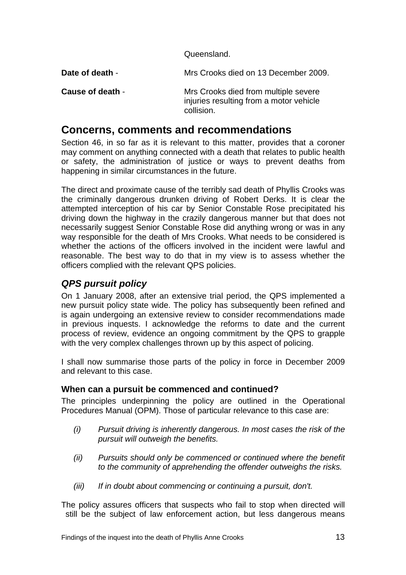Queensland.

<span id="page-14-0"></span>**Date of death** - Mrs Crooks died on 13 December 2009.

**Cause of death** - Mrs Crooks died from multiple severe injuries resulting from a motor vehicle collision.

# **Concerns, comments and recommendations**

Section 46, in so far as it is relevant to this matter, provides that a coroner may comment on anything connected with a death that relates to public health or safety, the administration of justice or ways to prevent deaths from happening in similar circumstances in the future.

The direct and proximate cause of the terribly sad death of Phyllis Crooks was the criminally dangerous drunken driving of Robert Derks. It is clear the attempted interception of his car by Senior Constable Rose precipitated his driving down the highway in the crazily dangerous manner but that does not necessarily suggest Senior Constable Rose did anything wrong or was in any way responsible for the death of Mrs Crooks. What needs to be considered is whether the actions of the officers involved in the incident were lawful and reasonable. The best way to do that in my view is to assess whether the officers complied with the relevant QPS policies.

# *QPS pursuit policy*

On 1 January 2008, after an extensive trial period, the QPS implemented a new pursuit policy state wide. The policy has subsequently been refined and is again undergoing an extensive review to consider recommendations made in previous inquests. I acknowledge the reforms to date and the current process of review, evidence an ongoing commitment by the QPS to grapple with the very complex challenges thrown up by this aspect of policing.

I shall now summarise those parts of the policy in force in December 2009 and relevant to this case.

#### **When can a pursuit be commenced and continued?**

The principles underpinning the policy are outlined in the Operational Procedures Manual (OPM). Those of particular relevance to this case are:

- *(i) Pursuit driving is inherently dangerous. In most cases the risk of the pursuit will outweigh the benefits.*
- *(ii) Pursuits should only be commenced or continued where the benefit to the community of apprehending the offender outweighs the risks.*
- *(iii) If in doubt about commencing or continuing a pursuit, don't.*

The policy assures officers that suspects who fail to stop when directed will still be the subject of law enforcement action, but less dangerous means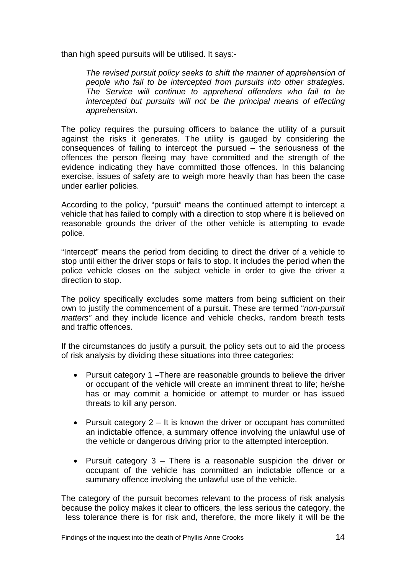than high speed pursuits will be utilised. It says:-

*The revised pursuit policy seeks to shift the manner of apprehension of people who fail to be intercepted from pursuits into other strategies. The Service will continue to apprehend offenders who fail to be intercepted but pursuits will not be the principal means of effecting apprehension.* 

The policy requires the pursuing officers to balance the utility of a pursuit against the risks it generates. The utility is gauged by considering the consequences of failing to intercept the pursued – the seriousness of the offences the person fleeing may have committed and the strength of the evidence indicating they have committed those offences. In this balancing exercise, issues of safety are to weigh more heavily than has been the case under earlier policies.

According to the policy, "pursuit" means the continued attempt to intercept a vehicle that has failed to comply with a direction to stop where it is believed on reasonable grounds the driver of the other vehicle is attempting to evade police.

"Intercept" means the period from deciding to direct the driver of a vehicle to stop until either the driver stops or fails to stop. It includes the period when the police vehicle closes on the subject vehicle in order to give the driver a direction to stop.

The policy specifically excludes some matters from being sufficient on their own to justify the commencement of a pursuit. These are termed "*non-pursuit matters"* and they include licence and vehicle checks, random breath tests and traffic offences.

If the circumstances do justify a pursuit, the policy sets out to aid the process of risk analysis by dividing these situations into three categories:

- Pursuit category 1 –There are reasonable grounds to believe the driver or occupant of the vehicle will create an imminent threat to life; he/she has or may commit a homicide or attempt to murder or has issued threats to kill any person.
- Pursuit category  $2 It$  is known the driver or occupant has committed an indictable offence, a summary offence involving the unlawful use of the vehicle or dangerous driving prior to the attempted interception.
- Pursuit category 3 There is a reasonable suspicion the driver or occupant of the vehicle has committed an indictable offence or a summary offence involving the unlawful use of the vehicle.

The category of the pursuit becomes relevant to the process of risk analysis because the policy makes it clear to officers, the less serious the category, the less tolerance there is for risk and, therefore, the more likely it will be the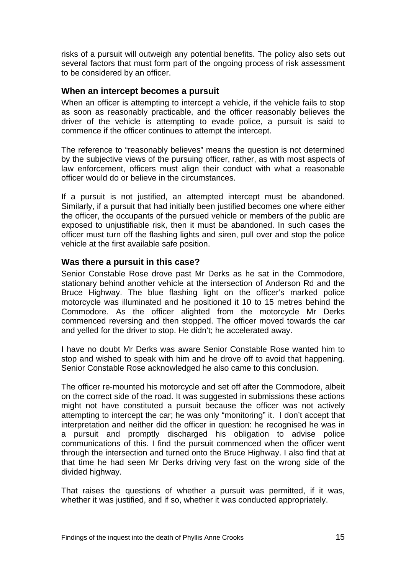<span id="page-16-0"></span>risks of a pursuit will outweigh any potential benefits. The policy also sets out several factors that must form part of the ongoing process of risk assessment to be considered by an officer.

#### **When an intercept becomes a pursuit**

When an officer is attempting to intercept a vehicle, if the vehicle fails to stop as soon as reasonably practicable, and the officer reasonably believes the driver of the vehicle is attempting to evade police, a pursuit is said to commence if the officer continues to attempt the intercept.

The reference to "reasonably believes" means the question is not determined by the subjective views of the pursuing officer, rather, as with most aspects of law enforcement, officers must align their conduct with what a reasonable officer would do or believe in the circumstances.

If a pursuit is not justified, an attempted intercept must be abandoned. Similarly, if a pursuit that had initially been justified becomes one where either the officer, the occupants of the pursued vehicle or members of the public are exposed to unjustifiable risk, then it must be abandoned. In such cases the officer must turn off the flashing lights and siren, pull over and stop the police vehicle at the first available safe position.

#### **Was there a pursuit in this case?**

Senior Constable Rose drove past Mr Derks as he sat in the Commodore, stationary behind another vehicle at the intersection of Anderson Rd and the Bruce Highway. The blue flashing light on the officer's marked police motorcycle was illuminated and he positioned it 10 to 15 metres behind the Commodore. As the officer alighted from the motorcycle Mr Derks commenced reversing and then stopped. The officer moved towards the car and yelled for the driver to stop. He didn't; he accelerated away.

I have no doubt Mr Derks was aware Senior Constable Rose wanted him to stop and wished to speak with him and he drove off to avoid that happening. Senior Constable Rose acknowledged he also came to this conclusion.

The officer re-mounted his motorcycle and set off after the Commodore, albeit on the correct side of the road. It was suggested in submissions these actions might not have constituted a pursuit because the officer was not actively attempting to intercept the car; he was only "monitoring" it. I don't accept that interpretation and neither did the officer in question: he recognised he was in a pursuit and promptly discharged his obligation to advise police communications of this. I find the pursuit commenced when the officer went through the intersection and turned onto the Bruce Highway. I also find that at that time he had seen Mr Derks driving very fast on the wrong side of the divided highway.

That raises the questions of whether a pursuit was permitted, if it was, whether it was justified, and if so, whether it was conducted appropriately.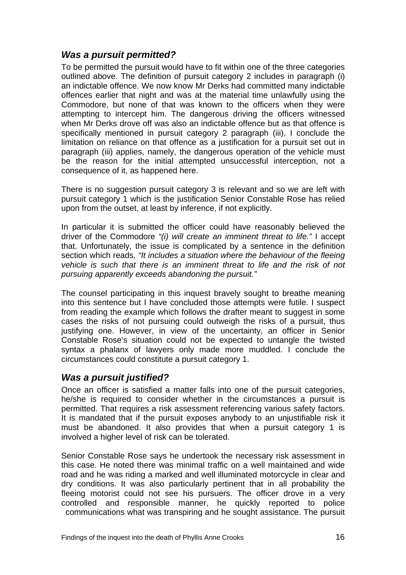### <span id="page-17-0"></span>*Was a pursuit permitted?*

To be permitted the pursuit would have to fit within one of the three categories outlined above. The definition of pursuit category 2 includes in paragraph (i) an indictable offence. We now know Mr Derks had committed many indictable offences earlier that night and was at the material time unlawfully using the Commodore, but none of that was known to the officers when they were attempting to intercept him. The dangerous driving the officers witnessed when Mr Derks drove off was also an indictable offence but as that offence is specifically mentioned in pursuit category 2 paragraph (iii), I conclude the limitation on reliance on that offence as a justification for a pursuit set out in paragraph (iii) applies, namely, the dangerous operation of the vehicle must be the reason for the initial attempted unsuccessful interception, not a consequence of it, as happened here.

There is no suggestion pursuit category 3 is relevant and so we are left with pursuit category 1 which is the justification Senior Constable Rose has relied upon from the outset, at least by inference, if not explicitly.

In particular it is submitted the officer could have reasonably believed the driver of the Commodore *"(i) will create an imminent threat to life."* I accept that. Unfortunately, the issue is complicated by a sentence in the definition section which reads*, "It includes a situation where the behaviour of the fleeing vehicle is such that there is an imminent threat to life and the risk of not pursuing apparently exceeds abandoning the pursuit."* 

The counsel participating in this inquest bravely sought to breathe meaning into this sentence but I have concluded those attempts were futile. I suspect from reading the example which follows the drafter meant to suggest in some cases the risks of not pursuing could outweigh the risks of a pursuit, thus justifying one. However, in view of the uncertainty, an officer in Senior Constable Rose's situation could not be expected to untangle the twisted syntax a phalanx of lawyers only made more muddled. I conclude the circumstances could constitute a pursuit category 1.

#### *Was a pursuit justified?*

Once an officer is satisfied a matter falls into one of the pursuit categories, he/she is required to consider whether in the circumstances a pursuit is permitted. That requires a risk assessment referencing various safety factors. It is mandated that if the pursuit exposes anybody to an unjustifiable risk it must be abandoned. It also provides that when a pursuit category 1 is involved a higher level of risk can be tolerated.

Senior Constable Rose says he undertook the necessary risk assessment in this case. He noted there was minimal traffic on a well maintained and wide road and he was riding a marked and well illuminated motorcycle in clear and dry conditions. It was also particularly pertinent that in all probability the fleeing motorist could not see his pursuers. The officer drove in a very controlled and responsible manner, he quickly reported to police communications what was transpiring and he sought assistance. The pursuit